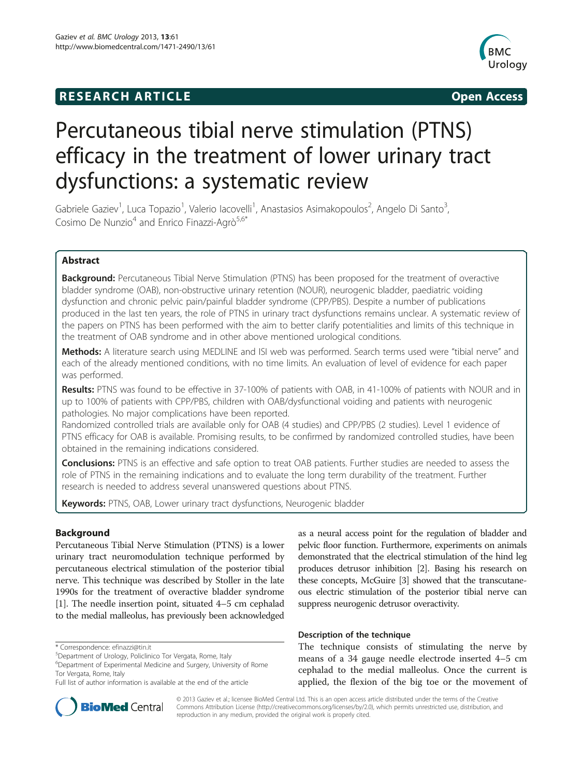## **RESEARCH ARTICLE Example 2014 The SEAR CH ACCESS**



# Percutaneous tibial nerve stimulation (PTNS) efficacy in the treatment of lower urinary tract dysfunctions: a systematic review

Gabriele Gaziev<sup>1</sup>, Luca Topazio<sup>1</sup>, Valerio Iacovelli<sup>1</sup>, Anastasios Asimakopoulos<sup>2</sup>, Angelo Di Santo<sup>3</sup> , Cosimo De Nunzio<sup>4</sup> and Enrico Finazzi-Agrò<sup>5,6\*</sup>

## Abstract

Background: Percutaneous Tibial Nerve Stimulation (PTNS) has been proposed for the treatment of overactive bladder syndrome (OAB), non-obstructive urinary retention (NOUR), neurogenic bladder, paediatric voiding dysfunction and chronic pelvic pain/painful bladder syndrome (CPP/PBS). Despite a number of publications produced in the last ten years, the role of PTNS in urinary tract dysfunctions remains unclear. A systematic review of the papers on PTNS has been performed with the aim to better clarify potentialities and limits of this technique in the treatment of OAB syndrome and in other above mentioned urological conditions.

Methods: A literature search using MEDLINE and ISI web was performed. Search terms used were "tibial nerve" and each of the already mentioned conditions, with no time limits. An evaluation of level of evidence for each paper was performed.

Results: PTNS was found to be effective in 37-100% of patients with OAB, in 41-100% of patients with NOUR and in up to 100% of patients with CPP/PBS, children with OAB/dysfunctional voiding and patients with neurogenic pathologies. No major complications have been reported.

Randomized controlled trials are available only for OAB (4 studies) and CPP/PBS (2 studies). Level 1 evidence of PTNS efficacy for OAB is available. Promising results, to be confirmed by randomized controlled studies, have been obtained in the remaining indications considered.

**Conclusions:** PTNS is an effective and safe option to treat OAB patients. Further studies are needed to assess the role of PTNS in the remaining indications and to evaluate the long term durability of the treatment. Further research is needed to address several unanswered questions about PTNS.

Keywords: PTNS, OAB, Lower urinary tract dysfunctions, Neurogenic bladder

## Background

Percutaneous Tibial Nerve Stimulation (PTNS) is a lower urinary tract neuromodulation technique performed by percutaneous electrical stimulation of the posterior tibial nerve. This technique was described by Stoller in the late 1990s for the treatment of overactive bladder syndrome [[1\]](#page-9-0). The needle insertion point, situated 4–5 cm cephalad to the medial malleolus, has previously been acknowledged

\* Correspondence: [efinazzi@tin.it](mailto:efinazzi@tin.it) <sup>5</sup>

as a neural access point for the regulation of bladder and pelvic floor function. Furthermore, experiments on animals demonstrated that the electrical stimulation of the hind leg produces detrusor inhibition [\[2\]](#page-9-0). Basing his research on these concepts, McGuire [[3](#page-9-0)] showed that the transcutaneous electric stimulation of the posterior tibial nerve can suppress neurogenic detrusor overactivity.

## Description of the technique

The technique consists of stimulating the nerve by means of a 34 gauge needle electrode inserted 4–5 cm cephalad to the medial malleolus. Once the current is applied, the flexion of the big toe or the movement of



© 2013 Gaziev et al.; licensee BioMed Central Ltd. This is an open access article distributed under the terms of the Creative Commons Attribution License [\(http://creativecommons.org/licenses/by/2.0\)](http://creativecommons.org/licenses/by/2.0), which permits unrestricted use, distribution, and reproduction in any medium, provided the original work is properly cited.

Department of Urology, Policlinico Tor Vergata, Rome, Italy

<sup>6</sup> Department of Experimental Medicine and Surgery, University of Rome Tor Vergata, Rome, Italy

Full list of author information is available at the end of the article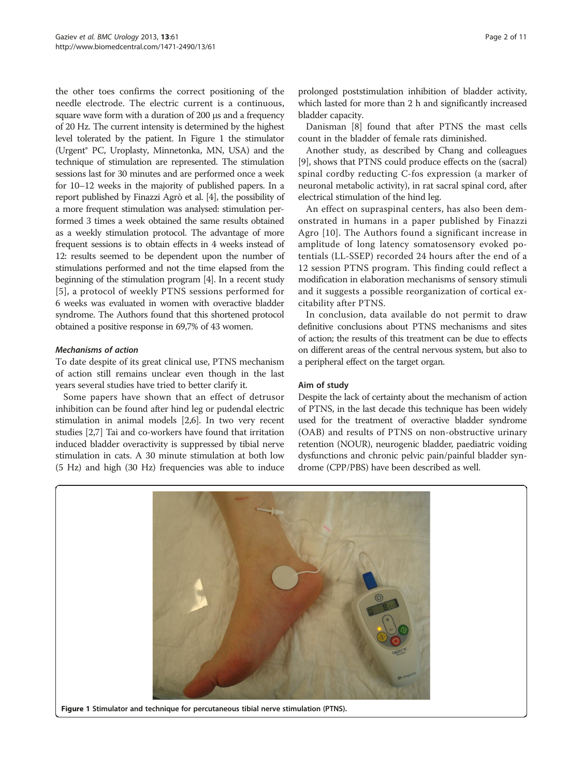the other toes confirms the correct positioning of the needle electrode. The electric current is a continuous, square wave form with a duration of 200 μs and a frequency of 20 Hz. The current intensity is determined by the highest level tolerated by the patient. In Figure 1 the stimulator (Urgent® PC, Uroplasty, Minnetonka, MN, USA) and the technique of stimulation are represented. The stimulation sessions last for 30 minutes and are performed once a week for 10–12 weeks in the majority of published papers. In a report published by Finazzi Agrò et al. [[4](#page-9-0)], the possibility of a more frequent stimulation was analysed: stimulation performed 3 times a week obtained the same results obtained as a weekly stimulation protocol. The advantage of more frequent sessions is to obtain effects in 4 weeks instead of 12: results seemed to be dependent upon the number of stimulations performed and not the time elapsed from the beginning of the stimulation program [[4](#page-9-0)]. In a recent study [[5](#page-9-0)], a protocol of weekly PTNS sessions performed for 6 weeks was evaluated in women with overactive bladder syndrome. The Authors found that this shortened protocol obtained a positive response in 69,7% of 43 women.

## Mechanisms of action

To date despite of its great clinical use, PTNS mechanism of action still remains unclear even though in the last years several studies have tried to better clarify it.

Some papers have shown that an effect of detrusor inhibition can be found after hind leg or pudendal electric stimulation in animal models [[2,6](#page-9-0)]. In two very recent studies [\[2,7](#page-9-0)] Tai and co-workers have found that irritation induced bladder overactivity is suppressed by tibial nerve stimulation in cats. A 30 minute stimulation at both low (5 Hz) and high (30 Hz) frequencies was able to induce

prolonged poststimulation inhibition of bladder activity, which lasted for more than 2 h and significantly increased bladder capacity.

Danisman [\[8](#page-9-0)] found that after PTNS the mast cells count in the bladder of female rats diminished.

Another study, as described by Chang and colleagues [[9\]](#page-9-0), shows that PTNS could produce effects on the (sacral) spinal cordby reducting C-fos expression (a marker of neuronal metabolic activity), in rat sacral spinal cord, after electrical stimulation of the hind leg.

An effect on supraspinal centers, has also been demonstrated in humans in a paper published by Finazzi Agro [[10\]](#page-9-0). The Authors found a significant increase in amplitude of long latency somatosensory evoked potentials (LL-SSEP) recorded 24 hours after the end of a 12 session PTNS program. This finding could reflect a modification in elaboration mechanisms of sensory stimuli and it suggests a possible reorganization of cortical excitability after PTNS.

In conclusion, data available do not permit to draw definitive conclusions about PTNS mechanisms and sites of action; the results of this treatment can be due to effects on different areas of the central nervous system, but also to a peripheral effect on the target organ.

#### Aim of study

Despite the lack of certainty about the mechanism of action of PTNS, in the last decade this technique has been widely used for the treatment of overactive bladder syndrome (OAB) and results of PTNS on non-obstructive urinary retention (NOUR), neurogenic bladder, paediatric voiding dysfunctions and chronic pelvic pain/painful bladder syndrome (CPP/PBS) have been described as well.

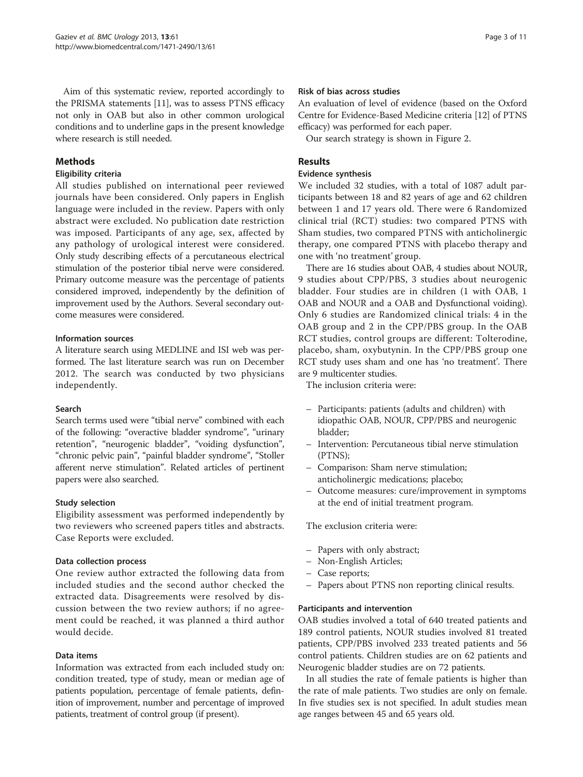Aim of this systematic review, reported accordingly to the PRISMA statements [\[11\]](#page-9-0), was to assess PTNS efficacy not only in OAB but also in other common urological conditions and to underline gaps in the present knowledge where research is still needed.

## Methods

## Eligibility criteria

All studies published on international peer reviewed journals have been considered. Only papers in English language were included in the review. Papers with only abstract were excluded. No publication date restriction was imposed. Participants of any age, sex, affected by any pathology of urological interest were considered. Only study describing effects of a percutaneous electrical stimulation of the posterior tibial nerve were considered. Primary outcome measure was the percentage of patients considered improved, independently by the definition of improvement used by the Authors. Several secondary outcome measures were considered.

## Information sources

A literature search using MEDLINE and ISI web was performed. The last literature search was run on December 2012. The search was conducted by two physicians independently.

#### Search

Search terms used were "tibial nerve" combined with each of the following: "overactive bladder syndrome", "urinary retention", "neurogenic bladder", "voiding dysfunction", "chronic pelvic pain", "painful bladder syndrome", "Stoller afferent nerve stimulation". Related articles of pertinent papers were also searched.

## Study selection

Eligibility assessment was performed independently by two reviewers who screened papers titles and abstracts. Case Reports were excluded.

## Data collection process

One review author extracted the following data from included studies and the second author checked the extracted data. Disagreements were resolved by discussion between the two review authors; if no agreement could be reached, it was planned a third author would decide.

## Data items

Information was extracted from each included study on: condition treated, type of study, mean or median age of patients population, percentage of female patients, definition of improvement, number and percentage of improved patients, treatment of control group (if present).

## Risk of bias across studies

An evaluation of level of evidence (based on the Oxford Centre for Evidence-Based Medicine criteria [\[12\]](#page-9-0) of PTNS efficacy) was performed for each paper.

Our search strategy is shown in Figure [2](#page-3-0).

## Results

#### Evidence synthesis

We included 32 studies, with a total of 1087 adult participants between 18 and 82 years of age and 62 children between 1 and 17 years old. There were 6 Randomized clinical trial (RCT) studies: two compared PTNS with Sham studies, two compared PTNS with anticholinergic therapy, one compared PTNS with placebo therapy and one with 'no treatment' group.

There are 16 studies about OAB, 4 studies about NOUR, 9 studies about CPP/PBS, 3 studies about neurogenic bladder. Four studies are in children (1 with OAB, 1 OAB and NOUR and a OAB and Dysfunctional voiding). Only 6 studies are Randomized clinical trials: 4 in the OAB group and 2 in the CPP/PBS group. In the OAB RCT studies, control groups are different: Tolterodine, placebo, sham, oxybutynin. In the CPP/PBS group one RCT study uses sham and one has 'no treatment'. There are 9 multicenter studies.

The inclusion criteria were:

- Participants: patients (adults and children) with idiopathic OAB, NOUR, CPP/PBS and neurogenic bladder;
- Intervention: Percutaneous tibial nerve stimulation (PTNS);
- Comparison: Sham nerve stimulation; anticholinergic medications; placebo;
- Outcome measures: cure/improvement in symptoms at the end of initial treatment program.

The exclusion criteria were:

- Papers with only abstract;
- Non-English Articles;
- Case reports;
- Papers about PTNS non reporting clinical results.

#### Participants and intervention

OAB studies involved a total of 640 treated patients and 189 control patients, NOUR studies involved 81 treated patients, CPP/PBS involved 233 treated patients and 56 control patients. Children studies are on 62 patients and Neurogenic bladder studies are on 72 patients.

In all studies the rate of female patients is higher than the rate of male patients. Two studies are only on female. In five studies sex is not specified. In adult studies mean age ranges between 45 and 65 years old.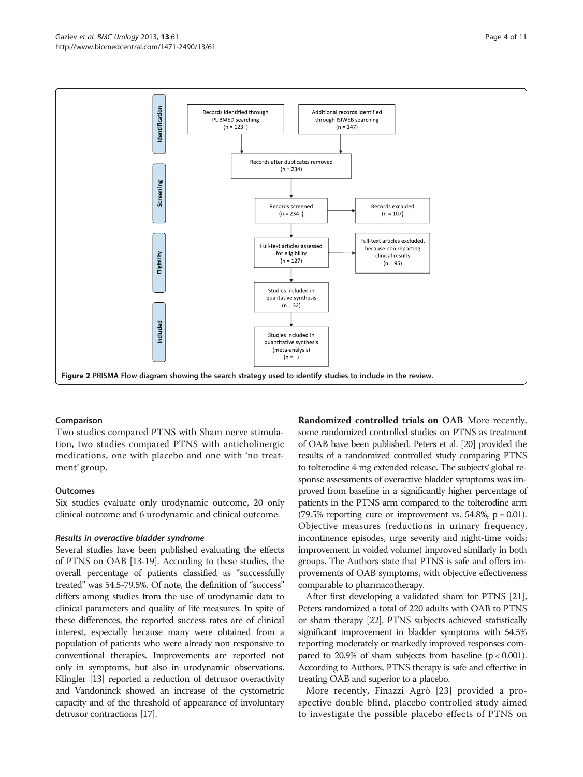<span id="page-3-0"></span>

## Comparison

Two studies compared PTNS with Sham nerve stimulation, two studies compared PTNS with anticholinergic medications, one with placebo and one with 'no treatment' group.

#### **Outcomes**

Six studies evaluate only urodynamic outcome, 20 only clinical outcome and 6 urodynamic and clinical outcome.

#### Results in overactive bladder syndrome

Several studies have been published evaluating the effects of PTNS on OAB [\[13-19\]](#page-9-0). According to these studies, the overall percentage of patients classified as "successfully treated" was 54.5-79.5%. Of note, the definition of "success" differs among studies from the use of urodynamic data to clinical parameters and quality of life measures. In spite of these differences, the reported success rates are of clinical interest, especially because many were obtained from a population of patients who were already non responsive to conventional therapies. Improvements are reported not only in symptoms, but also in urodynamic observations. Klingler [\[13\]](#page-9-0) reported a reduction of detrusor overactivity and Vandoninck showed an increase of the cystometric capacity and of the threshold of appearance of involuntary detrusor contractions [\[17\]](#page-9-0).

Randomized controlled trials on OAB More recently, some randomized controlled studies on PTNS as treatment of OAB have been published. Peters et al. [\[20](#page-9-0)] provided the results of a randomized controlled study comparing PTNS to tolterodine 4 mg extended release. The subjects' global response assessments of overactive bladder symptoms was improved from baseline in a significantly higher percentage of patients in the PTNS arm compared to the tolterodine arm  $(79.5\%$  reporting cure or improvement vs. 54.8%,  $p = 0.01$ ). Objective measures (reductions in urinary frequency, incontinence episodes, urge severity and night-time voids; improvement in voided volume) improved similarly in both groups. The Authors state that PTNS is safe and offers improvements of OAB symptoms, with objective effectiveness comparable to pharmacotherapy.

After first developing a validated sham for PTNS [\[21](#page-9-0)], Peters randomized a total of 220 adults with OAB to PTNS or sham therapy [[22](#page-9-0)]. PTNS subjects achieved statistically significant improvement in bladder symptoms with 54.5% reporting moderately or markedly improved responses compared to 20.9% of sham subjects from baseline  $(p < 0.001)$ . According to Authors, PTNS therapy is safe and effective in treating OAB and superior to a placebo.

More recently, Finazzi Agrò [[23\]](#page-9-0) provided a prospective double blind, placebo controlled study aimed to investigate the possible placebo effects of PTNS on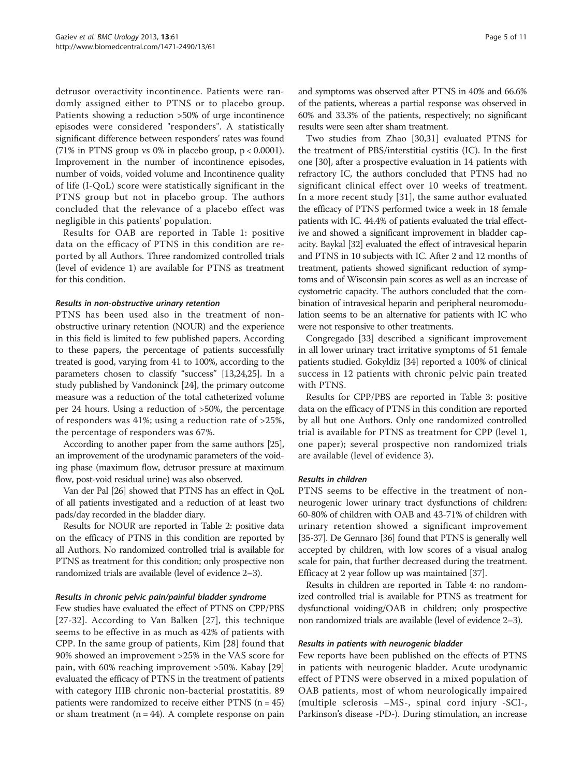detrusor overactivity incontinence. Patients were randomly assigned either to PTNS or to placebo group. Patients showing a reduction >50% of urge incontinence episodes were considered "responders". A statistically significant difference between responders' rates was found (71% in PTNS group vs 0% in placebo group,  $p < 0.0001$ ). Improvement in the number of incontinence episodes, number of voids, voided volume and Incontinence quality of life (I-QoL) score were statistically significant in the PTNS group but not in placebo group. The authors concluded that the relevance of a placebo effect was negligible in this patients' population.

Results for OAB are reported in Table [1](#page-5-0): positive data on the efficacy of PTNS in this condition are reported by all Authors. Three randomized controlled trials (level of evidence 1) are available for PTNS as treatment for this condition.

#### Results in non-obstructive urinary retention

PTNS has been used also in the treatment of nonobstructive urinary retention (NOUR) and the experience in this field is limited to few published papers. According to these papers, the percentage of patients successfully treated is good, varying from 41 to 100%, according to the parameters chosen to classify "success" [\[13,24,25](#page-9-0)]. In a study published by Vandoninck [\[24\]](#page-9-0), the primary outcome measure was a reduction of the total catheterized volume per 24 hours. Using a reduction of >50%, the percentage of responders was 41%; using a reduction rate of >25%, the percentage of responders was 67%.

According to another paper from the same authors [\[25](#page-9-0)], an improvement of the urodynamic parameters of the voiding phase (maximum flow, detrusor pressure at maximum flow, post-void residual urine) was also observed.

Van der Pal [[26](#page-9-0)] showed that PTNS has an effect in QoL of all patients investigated and a reduction of at least two pads/day recorded in the bladder diary.

Results for NOUR are reported in Table [2](#page-6-0): positive data on the efficacy of PTNS in this condition are reported by all Authors. No randomized controlled trial is available for PTNS as treatment for this condition; only prospective non randomized trials are available (level of evidence 2–3).

#### Results in chronic pelvic pain/painful bladder syndrome

Few studies have evaluated the effect of PTNS on CPP/PBS [[27-32\]](#page-9-0). According to Van Balken [[27](#page-9-0)], this technique seems to be effective in as much as 42% of patients with CPP. In the same group of patients, Kim [[28](#page-9-0)] found that 90% showed an improvement >25% in the VAS score for pain, with 60% reaching improvement >50%. Kabay [\[29](#page-9-0)] evaluated the efficacy of PTNS in the treatment of patients with category IIIB chronic non-bacterial prostatitis. 89 patients were randomized to receive either  $PTNS (n = 45)$ or sham treatment ( $n = 44$ ). A complete response on pain and symptoms was observed after PTNS in 40% and 66.6% of the patients, whereas a partial response was observed in 60% and 33.3% of the patients, respectively; no significant results were seen after sham treatment.

Two studies from Zhao [[30](#page-9-0),[31](#page-9-0)] evaluated PTNS for the treatment of PBS/interstitial cystitis (IC). In the first one [\[30\]](#page-9-0), after a prospective evaluation in 14 patients with refractory IC, the authors concluded that PTNS had no significant clinical effect over 10 weeks of treatment. In a more recent study [[31](#page-9-0)], the same author evaluated the efficacy of PTNS performed twice a week in 18 female patients with IC. 44.4% of patients evaluated the trial effective and showed a significant improvement in bladder capacity. Baykal [[32](#page-9-0)] evaluated the effect of intravesical heparin and PTNS in 10 subjects with IC. After 2 and 12 months of treatment, patients showed significant reduction of symptoms and of Wisconsin pain scores as well as an increase of cystometric capacity. The authors concluded that the combination of intravesical heparin and peripheral neuromodulation seems to be an alternative for patients with IC who were not responsive to other treatments.

Congregado [\[33](#page-9-0)] described a significant improvement in all lower urinary tract irritative symptoms of 51 female patients studied. Gokyldiz [\[34\]](#page-9-0) reported a 100% of clinical success in 12 patients with chronic pelvic pain treated with PTNS.

Results for CPP/PBS are reported in Table [3](#page-7-0): positive data on the efficacy of PTNS in this condition are reported by all but one Authors. Only one randomized controlled trial is available for PTNS as treatment for CPP (level 1, one paper); several prospective non randomized trials are available (level of evidence 3).

#### Results in children

PTNS seems to be effective in the treatment of nonneurogenic lower urinary tract dysfunctions of children: 60-80% of children with OAB and 43-71% of children with urinary retention showed a significant improvement [[35](#page-9-0)-[37\]](#page-10-0). De Gennaro [\[36\]](#page-10-0) found that PTNS is generally well accepted by children, with low scores of a visual analog scale for pain, that further decreased during the treatment. Efficacy at 2 year follow up was maintained [[37\]](#page-10-0).

Results in children are reported in Table [4:](#page-8-0) no randomized controlled trial is available for PTNS as treatment for dysfunctional voiding/OAB in children; only prospective non randomized trials are available (level of evidence 2–3).

#### Results in patients with neurogenic bladder

Few reports have been published on the effects of PTNS in patients with neurogenic bladder. Acute urodynamic effect of PTNS were observed in a mixed population of OAB patients, most of whom neurologically impaired (multiple sclerosis –MS-, spinal cord injury -SCI-, Parkinson's disease -PD-). During stimulation, an increase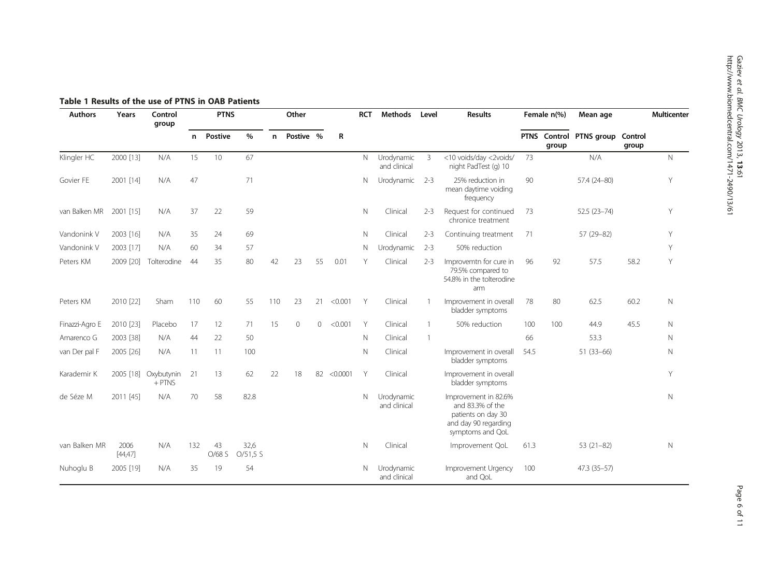| <b>Authors</b> | Years            | Control<br>group       |     | <b>PTNS</b>  |                  |     | Other     |         |          | <b>RCT</b> | <b>Methods</b>             | Level          | <b>Results</b>                                                                                             | Female n(%) |                       | Mean age        |                  | <b>Multicenter</b> |
|----------------|------------------|------------------------|-----|--------------|------------------|-----|-----------|---------|----------|------------|----------------------------|----------------|------------------------------------------------------------------------------------------------------------|-------------|-----------------------|-----------------|------------------|--------------------|
|                |                  |                        | n   | Postive      | $\%$             | n   | Postive % |         | R        |            |                            |                |                                                                                                            |             | PTNS Control<br>group | PTNS group      | Control<br>group |                    |
| Klingler HC    | 2000 [13]        | N/A                    | 15  | 10           | 67               |     |           |         |          | N          | Urodynamic<br>and clinical | 3              | <10 voids/day <2voids/<br>night PadTest (g) 10                                                             | 73          |                       | N/A             |                  | $\mathbb N$        |
| Govier FE      | 2001 [14]        | N/A                    | 47  |              | 71               |     |           |         |          | N          | Urodynamic                 | $2 - 3$        | 25% reduction in<br>mean daytime voiding<br>frequency                                                      | 90          |                       | 57.4 (24-80)    |                  | Υ                  |
| van Balken MR  | 2001 [15]        | N/A                    | 37  | 22           | 59               |     |           |         |          | N          | Clinical                   | $2 - 3$        | Request for continued<br>chronice treatment                                                                | 73          |                       | $52.5(23 - 74)$ |                  | Y                  |
| Vandonink V    | 2003 [16]        | N/A                    | 35  | 24           | 69               |     |           |         |          | N          | Clinical                   | $2 - 3$        | Continuing treatment                                                                                       | 71          |                       | 57 (29-82)      |                  | Υ                  |
| Vandonink V    | 2003 [17]        | N/A                    | 60  | 34           | 57               |     |           |         |          | N          | Urodynamic                 | $2 - 3$        | 50% reduction                                                                                              |             |                       |                 |                  | Y                  |
| Peters KM      | 2009 [20]        | Tolterodine            | 44  | 35           | 80               | 42  | 23        | 55      | 0.01     | Y          | Clinical                   | $2 - 3$        | Improvemtn for cure in<br>79.5% compared to<br>54.8% in the tolterodine<br>arm                             | 96          | 92                    | 57.5            | 58.2             | Y                  |
| Peters KM      | 2010 [22]        | Sham                   | 110 | 60           | 55               | 110 | 23        | 21      | < 0.001  | Y          | Clinical                   | -1             | Improvement in overall<br>bladder symptoms                                                                 | 78          | 80                    | 62.5            | 60.2             | $\mathbb N$        |
| Finazzi-Agro E | 2010 [23]        | Placebo                | 17  | 12           | 71               | 15  | $\circ$   | $\circ$ | < 0.001  | Y          | Clinical                   | $\mathbf{1}$   | 50% reduction                                                                                              | 100         | 100                   | 44.9            | 45.5             | N                  |
| Amarenco G     | 2003 [38]        | N/A                    | 44  | 22           | 50               |     |           |         |          | N          | Clinical                   | $\overline{1}$ |                                                                                                            | 66          |                       | 53.3            |                  | $\mathbb N$        |
| van Der pal F  | 2005 [26]        | N/A                    | 11  | 11           | 100              |     |           |         |          | N          | Clinical                   |                | Improvement in overall<br>bladder symptoms                                                                 | 54.5        |                       | 51 (33-66)      |                  | $\mathbb N$        |
| Karademir K    | 2005 [18]        | Oxybutynin<br>$+$ PTNS | 21  | 13           | 62               | 22  | 18        | 82      | < 0.0001 | Y          | Clinical                   |                | Improvement in overall<br>bladder symptoms                                                                 |             |                       |                 |                  | Υ                  |
| de Séze M      | 2011 [45]        | N/A                    | 70  | 58           | 82.8             |     |           |         |          | N          | Urodynamic<br>and clinical |                | Improvement in 82.6%<br>and 83.3% of the<br>patients on day 30<br>and day 90 regarding<br>symptoms and QoL |             |                       |                 |                  | $\mathbb N$        |
| van Balken MR  | 2006<br>[44, 47] | N/A                    | 132 | 43<br>O/68 S | 32,6<br>O/51,5 S |     |           |         |          | Ν          | Clinical                   |                | Improvement QoL                                                                                            | 61.3        |                       | $53(21-82)$     |                  | $\mathbb N$        |
| Nuhoglu B      | 2005 [19]        | N/A                    | 35  | 19           | 54               |     |           |         |          | N          | Urodynamic<br>and clinical |                | Improvement Urgency<br>and QoL                                                                             | 100         |                       | 47.3 (35-57)    |                  |                    |

## <span id="page-5-0"></span>Table 1 Results of the use of PTNS in OAB Patients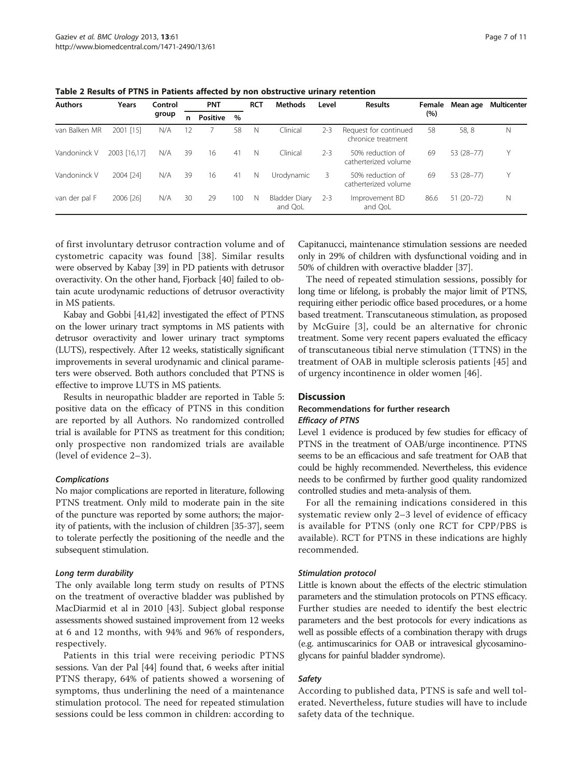|                | Table 2 Results of PTNS in Patients affected by non obstructive urinary retention |         |    |                 |      |            |                |         |                                             |        |            |             |  |  |  |
|----------------|-----------------------------------------------------------------------------------|---------|----|-----------------|------|------------|----------------|---------|---------------------------------------------|--------|------------|-------------|--|--|--|
| <b>Authors</b> | Years                                                                             | Control |    | <b>PNT</b>      |      | <b>RCT</b> | <b>Methods</b> | Level   | <b>Results</b>                              | Female | Mean age   | Multicenter |  |  |  |
|                |                                                                                   | group   |    | <b>Positive</b> | $\%$ |            |                |         |                                             | (%)    |            |             |  |  |  |
| van Balken MR  | 2001 [15]                                                                         | N/A     | 12 |                 | 58   | N          | Clinical       | $2 - 3$ | Request for continued<br>chronice treatment | 58     | 58.8       | N           |  |  |  |
| Vandoninck V   | 2003 [16.17]                                                                      | N/A     | 39 | 16              | 41   | N          | Clinical       | $2 - 3$ | 50% reduction of<br>catherterized volume    | 69     | 53 (28-77) | Υ           |  |  |  |
| Vandoninck V   | 2004 [24]                                                                         | N/A     | 39 | 16              | 41   | N          | Urodynamic     |         | 50% reduction of<br>catherterized volume    | 69     | 53 (28-77) | Υ           |  |  |  |

and Ool

<span id="page-6-0"></span>Table 2 Results of PTNS in Patients affected by non obstructive urinary retention

of first involuntary detrusor contraction volume and of cystometric capacity was found [[38\]](#page-10-0). Similar results were observed by Kabay [\[39\]](#page-10-0) in PD patients with detrusor overactivity. On the other hand, Fjorback [[40](#page-10-0)] failed to obtain acute urodynamic reductions of detrusor overactivity in MS patients.

van der pal F 2006 [[26](#page-9-0)] N/A 30 29 100 N Bladder Diary

Kabay and Gobbi [[41,42\]](#page-10-0) investigated the effect of PTNS on the lower urinary tract symptoms in MS patients with detrusor overactivity and lower urinary tract symptoms (LUTS), respectively. After 12 weeks, statistically significant improvements in several urodynamic and clinical parameters were observed. Both authors concluded that PTNS is effective to improve LUTS in MS patients.

Results in neuropathic bladder are reported in Table [5](#page-8-0): positive data on the efficacy of PTNS in this condition are reported by all Authors. No randomized controlled trial is available for PTNS as treatment for this condition; only prospective non randomized trials are available (level of evidence 2–3).

#### Complications

No major complications are reported in literature, following PTNS treatment. Only mild to moderate pain in the site of the puncture was reported by some authors; the majority of patients, with the inclusion of children [\[35](#page-9-0)-[37](#page-10-0)], seem to tolerate perfectly the positioning of the needle and the subsequent stimulation.

## Long term durability

The only available long term study on results of PTNS on the treatment of overactive bladder was published by MacDiarmid et al in 2010 [\[43](#page-10-0)]. Subject global response assessments showed sustained improvement from 12 weeks at 6 and 12 months, with 94% and 96% of responders, respectively.

Patients in this trial were receiving periodic PTNS sessions. Van der Pal [[44](#page-10-0)] found that, 6 weeks after initial PTNS therapy, 64% of patients showed a worsening of symptoms, thus underlining the need of a maintenance stimulation protocol. The need for repeated stimulation sessions could be less common in children: according to

Capitanucci, maintenance stimulation sessions are needed only in 29% of children with dysfunctional voiding and in 50% of children with overactive bladder [\[37](#page-10-0)].

86.6 51 (20–72) N

The need of repeated stimulation sessions, possibly for long time or lifelong, is probably the major limit of PTNS, requiring either periodic office based procedures, or a home based treatment. Transcutaneous stimulation, as proposed by McGuire [[3\]](#page-9-0), could be an alternative for chronic treatment. Some very recent papers evaluated the efficacy of transcutaneous tibial nerve stimulation (TTNS) in the treatment of OAB in multiple sclerosis patients [\[45](#page-10-0)] and of urgency incontinence in older women [\[46](#page-10-0)].

## Discussion

#### Recommendations for further research Efficacy of PTNS

2-3 Improvement BD and QoL

Level 1 evidence is produced by few studies for efficacy of PTNS in the treatment of OAB/urge incontinence. PTNS seems to be an efficacious and safe treatment for OAB that could be highly recommended. Nevertheless, this evidence needs to be confirmed by further good quality randomized controlled studies and meta-analysis of them.

For all the remaining indications considered in this systematic review only 2–3 level of evidence of efficacy is available for PTNS (only one RCT for CPP/PBS is available). RCT for PTNS in these indications are highly recommended.

## Stimulation protocol

Little is known about the effects of the electric stimulation parameters and the stimulation protocols on PTNS efficacy. Further studies are needed to identify the best electric parameters and the best protocols for every indications as well as possible effects of a combination therapy with drugs (e.g. antimuscarinics for OAB or intravesical glycosaminoglycans for painful bladder syndrome).

## Safety

According to published data, PTNS is safe and well tolerated. Nevertheless, future studies will have to include safety data of the technique.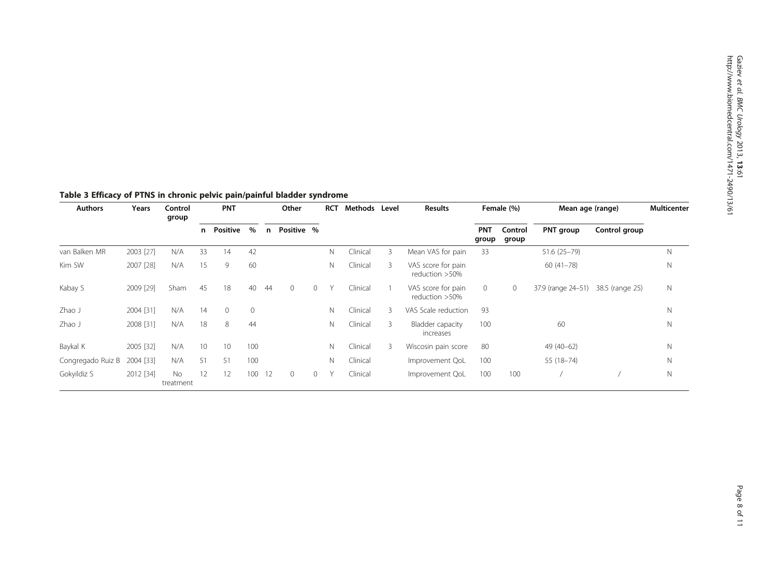| <b>Authors</b>    | Years     | Control<br>group |               | <b>PNT</b>      |              |            | Other   |          | <b>RCT</b>  | Methods  | Level | <b>Results</b>                          | Female (%) |           | Mean age (range)   |                 | <b>Multicenter</b> |
|-------------------|-----------|------------------|---------------|-----------------|--------------|------------|---------|----------|-------------|----------|-------|-----------------------------------------|------------|-----------|--------------------|-----------------|--------------------|
|                   |           |                  | Positive<br>n | $\%$            | n            | Positive % |         |          |             |          |       | <b>PNT</b><br>Control<br>group<br>group |            | PNT group | Control group      |                 |                    |
| van Balken MR     | 2003 [27] | N/A              | 33            | 14              | 42           |            |         |          | N           | Clinical | 3     | Mean VAS for pain                       | 33         |           | $51.6(25 - 79)$    |                 | N                  |
| Kim SW            | 2007 [28] | N/A              | 15            | 9               | 60           |            |         |          | N           | Clinical | 3     | VAS score for pain<br>reduction >50%    |            |           | $60(41 - 78)$      |                 | N                  |
| Kabay S           | 2009 [29] | Sham             | 45            | 18              | 40           | 44         | $\circ$ | $\Omega$ |             | Clinical |       | VAS score for pain<br>reduction >50%    | $\circ$    | 0         | 37.9 (range 24-51) | 38.5 (range 25) | $\mathsf{N}$       |
| Zhao J            | 2004 [31] | N/A              | 14            | $\mathbf{0}$    | $\mathbf{0}$ |            |         |          | N           | Clinical | 3     | VAS Scale reduction                     | 93         |           |                    |                 | N                  |
| Zhao J            | 2008 [31] | N/A              | 18            | 8               | 44           |            |         |          | N           | Clinical | 3     | Bladder capacity<br>increases           | 100        |           | 60                 |                 | N                  |
| Baykal K          | 2005 [32] | N/A              | 10            | 10 <sup>°</sup> | 100          |            |         |          | N           | Clinical | 3     | Wiscosin pain score                     | 80         |           | 49 (40-62)         |                 | $\mathbb N$        |
| Congregado Ruiz B | 2004 [33] | N/A              | 51            | 51              | 100          |            |         |          | $\mathbb N$ | Clinical |       | Improvement QoL                         | 100        |           | 55 (18-74)         |                 | N                  |
| Gokyildiz S       | 2012 [34] | No<br>treatment  | 12            | 12              | 100          | -12        | $\circ$ | $\circ$  |             | Clinical |       | Improvement QoL                         | 100        | 100       |                    |                 | $\mathbb N$        |

<span id="page-7-0"></span>Table 3 Efficacy of PTNS in chronic pelvic pain/painful bladder syndrome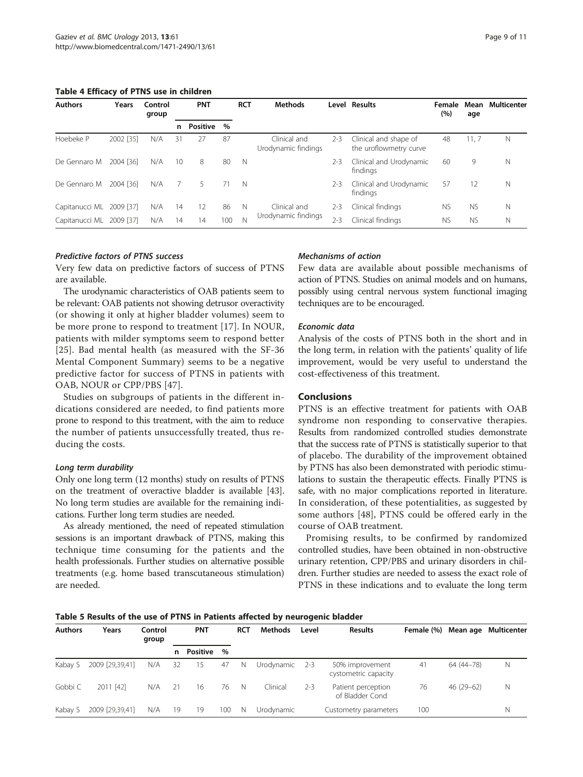<span id="page-8-0"></span>Table 4 Efficacy of PTNS use in children

| <b>Authors</b> | Years     | Control<br>group | <b>PNT</b> |          |      | <b>RCT</b> | <b>Methods</b>                      |         | Level Results                                   | Female<br>(%) | Mean<br>age | <b>Multicenter</b> |
|----------------|-----------|------------------|------------|----------|------|------------|-------------------------------------|---------|-------------------------------------------------|---------------|-------------|--------------------|
|                |           |                  | n.         | Positive | $\%$ |            |                                     |         |                                                 |               |             |                    |
| Hoebeke P      | 2002 [35] | N/A              | 31         | 27       | 87   |            | Clinical and<br>Urodynamic findings | $2 - 3$ | Clinical and shape of<br>the uroflowmetry curve | 48            | 11, 7       | Ν                  |
| De Gennaro M   | 2004 [36] | N/A              | 10         | 8        | 80   | N          |                                     | $2 - 3$ | Clinical and Urodynamic<br>findings             | 60            | 9           | Ν                  |
| De Gennaro M   | 2004 [36] | N/A              |            | 5        | 71   | N          |                                     | $2 - 3$ | Clinical and Urodynamic<br>findings             | 57            | 12          | N                  |
| Capitanucci ML | 2009 [37] | N/A              | 14         | 12       | 86   | N          | Clinical and                        | $2 - 3$ | Clinical findings                               | <b>NS</b>     | <b>NS</b>   | Ν                  |
| Capitanucci ML | 2009 [37] | N/A              | 14         | 14       | 100  | Ν          | Urodynamic findings                 | $2 - 3$ | Clinical findings                               | <b>NS</b>     | <b>NS</b>   | N                  |

#### Predictive factors of PTNS success

Very few data on predictive factors of success of PTNS are available.

The urodynamic characteristics of OAB patients seem to be relevant: OAB patients not showing detrusor overactivity (or showing it only at higher bladder volumes) seem to be more prone to respond to treatment [[17\]](#page-9-0). In NOUR, patients with milder symptoms seem to respond better [[25](#page-9-0)]. Bad mental health (as measured with the SF-36 Mental Component Summary) seems to be a negative predictive factor for success of PTNS in patients with OAB, NOUR or CPP/PBS [\[47](#page-10-0)].

Studies on subgroups of patients in the different indications considered are needed, to find patients more prone to respond to this treatment, with the aim to reduce the number of patients unsuccessfully treated, thus reducing the costs.

#### Long term durability

Only one long term (12 months) study on results of PTNS on the treatment of overactive bladder is available [[43](#page-10-0)]. No long term studies are available for the remaining indications. Further long term studies are needed.

As already mentioned, the need of repeated stimulation sessions is an important drawback of PTNS, making this technique time consuming for the patients and the health professionals. Further studies on alternative possible treatments (e.g. home based transcutaneous stimulation) are needed.

#### Mechanisms of action

Few data are available about possible mechanisms of action of PTNS. Studies on animal models and on humans, possibly using central nervous system functional imaging techniques are to be encouraged.

#### Economic data

Analysis of the costs of PTNS both in the short and in the long term, in relation with the patients' quality of life improvement, would be very useful to understand the cost-effectiveness of this treatment.

## Conclusions

PTNS is an effective treatment for patients with OAB syndrome non responding to conservative therapies. Results from randomized controlled studies demonstrate that the success rate of PTNS is statistically superior to that of placebo. The durability of the improvement obtained by PTNS has also been demonstrated with periodic stimulations to sustain the therapeutic effects. Finally PTNS is safe, with no major complications reported in literature. In consideration, of these potentialities, as suggested by some authors [[48\]](#page-10-0), PTNS could be offered early in the course of OAB treatment.

Promising results, to be confirmed by randomized controlled studies, have been obtained in non-obstructive urinary retention, CPP/PBS and urinary disorders in children. Further studies are needed to assess the exact role of PTNS in these indications and to evaluate the long term

Table 5 Results of the use of PTNS in Patients affected by neurogenic bladder

| <b>Authors</b> | Years           | Control<br>group |    | <b>PNT</b> |               | <b>RCT</b> | Methods        | Level   | <b>Results</b>                          | Female (%) |              | Mean age Multicenter |
|----------------|-----------------|------------------|----|------------|---------------|------------|----------------|---------|-----------------------------------------|------------|--------------|----------------------|
|                |                 |                  | n  | Positive   | $\frac{0}{0}$ |            |                |         |                                         |            |              |                      |
| Kabay S        | 2009 [29,39,41] | N/A              | 32 | 15         | 47            | - N        | Urodynamic 2-3 |         | 50% improvement<br>cystometric capacity | 41         | 64 (44 - 78) | N                    |
| Gobbi C        | 2011 [42]       | N/A              | 21 | 16         | 76            | - N        | Clinical       | $2 - 3$ | Patient perception<br>of Bladder Cond   | 76         | $46(29-62)$  | N                    |
| Kabay S        | 2009 [29,39,41] | N/A              | 19 | 19         | 100           | N          | Urodvnamic     |         | Custometry parameters                   | 100        |              | N                    |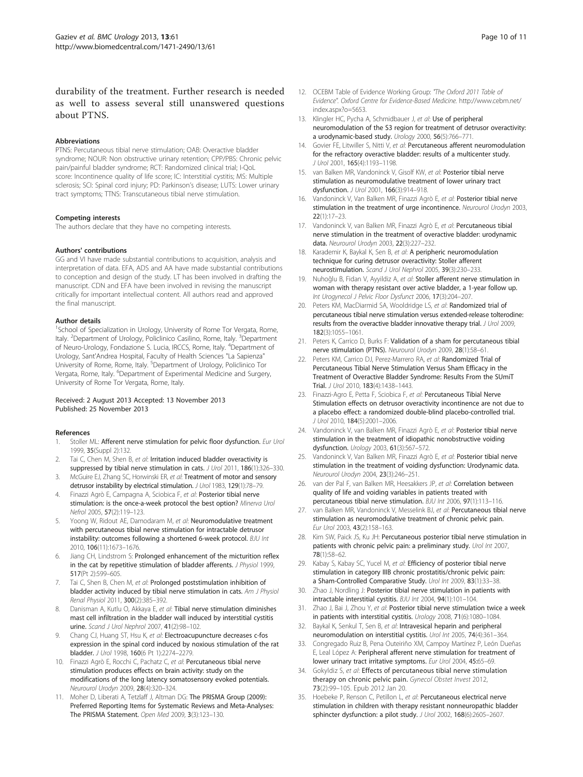<span id="page-9-0"></span>durability of the treatment. Further research is needed as well to assess several still unanswered questions about PTNS.

#### Abbreviations

PTNS: Percutaneous tibial nerve stimulation; OAB: Overactive bladder syndrome; NOUR: Non obstructive urinary retention; CPP/PBS: Chronic pelvic pain/painful bladder syndrome; RCT: Randomized clinical trial; I-QoL score: Incontinence quality of life score; IC: Interstitial cystitis; MS: Multiple sclerosis; SCI: Spinal cord injury; PD: Parkinson's disease; LUTS: Lower urinary tract symptoms; TTNS: Transcutaneous tibial nerve stimulation.

#### Competing interests

The authors declare that they have no competing interests.

#### Authors' contributions

GG and VI have made substantial contributions to acquisition, analysis and interpretation of data. EFA, ADS and AA have made substantial contributions to conception and design of the study. LT has been involved in drafting the manuscript. CDN and EFA have been involved in revising the manuscript critically for important intellectual content. All authors read and approved the final manuscript.

#### Author details

<sup>1</sup>School of Specialization in Urology, University of Rome Tor Vergata, Rome, Italy. <sup>2</sup>Department of Urology, Policlinico Casilino, Rome, Italy. <sup>3</sup>Department of Neuro-Urology, Fondazione S. Lucia, IRCCS, Rome, Italy. <sup>4</sup>Department of Urology, Sant'Andrea Hospital, Faculty of Health Sciences "La Sapienza" University of Rome, Rome, Italy. <sup>5</sup>Department of Urology, Policlinico Tor Vergata, Rome, Italy. <sup>6</sup>Department of Experimental Medicine and Surgery, University of Rome Tor Vergata, Rome, Italy.

#### Received: 2 August 2013 Accepted: 13 November 2013 Published: 25 November 2013

#### References

- 1. Stoller ML: Afferent nerve stimulation for pelvic floor dysfunction. Eur Urol 1999, 35(Suppl 2):132.
- 2. Tai C, Chen M, Shen B, et al: Irritation induced bladder overactivity is suppressed by tibial nerve stimulation in cats. J Urol 2011, 186(1):326-330.
- 3. McGuire EJ, Zhang SC, Horwinski ER, et al: Treatment of motor and sensory detrusor instability by electrical stimulation. J Urol 1983, 129(1):78-79.
- 4. Finazzi Agrò E, Campagna A, Sciobica F, et al: Posterior tibial nerve stimulation: is the once-a-week protocol the best option? Minerva Urol Nefrol 2005, 57(2):119–123.
- Yoong W, Ridout AE, Damodaram M, et al: Neuromodulative treatment with percutaneous tibial nerve stimulation for intractable detrusor instability: outcomes following a shortened 6-week protocol. BJU Int 2010, 106(11):1673–1676.
- 6. Jiang CH, Lindstrom S: Prolonged enhancement of the micturition reflex in the cat by repetitive stimulation of bladder afferents. J Physiol 1999, 517(Pt 2):599–605.
- 7. Tai C, Shen B, Chen M, et al: Prolonged poststimulation inhibition of bladder activity induced by tibial nerve stimulation in cats. Am J Physiol Renal Physiol 2011, 300(2):385–392.
- 8. Danisman A, Kutlu O, Akkaya E, et al: Tibial nerve stimulation diminishes mast cell infiltration in the bladder wall induced by interstitial cystitis urine. Scand J Urol Nephrol 2007, 41(2):98–102.
- 9. Chang CJ, Huang ST, Hsu K, et al: Electroacupuncture decreases c-fos expression in the spinal cord induced by noxious stimulation of the rat bladder. J Urol 1998, 160(6 Pt 1):2274–2279.
- 10. Finazzi Agrò E, Rocchi C, Pachatz C, et al: Percutaneous tibial nerve stimulation produces effects on brain activity: study on the modifications of the long latency somatosensory evoked potentials. Neurourol Urodyn 2009, 28(4):320–324.
- 11. Moher D, Liberati A, Tetzlaff J, Altman DG: The PRISMA Group (2009): Preferred Reporting Items for Systematic Reviews and Meta-Analyses: The PRISMA Statement. Open Med 2009, 3(3):123–130.
- 12. OCEBM Table of Evidence Working Group: "The Oxford 2011 Table of Evidence". Oxford Centre for Evidence-Based Medicine. [http://www.cebm.net/](http://www.cebm.net/index.aspx?o=5653) [index.aspx?o=5653](http://www.cebm.net/index.aspx?o=5653).
- 13. Klingler HC, Pycha A, Schmidbauer J, et al: Use of peripheral neuromodulation of the S3 region for treatment of detrusor overactivity: a urodynamic-based study. Urology 2000, 56(5):766–771.
- 14. Govier FE, Litwiller S, Nitti V, et al: Percutaneous afferent neuromodulation for the refractory overactive bladder: results of a multicenter study. J Urol 2001, 165(4):1193–1198.
- 15. van Balken MR, Vandoninck V, Gisolf KW, et al: Posterior tibial nerve stimulation as neuromodulative treatment of lower urinary tract dysfunction. J Urol 2001, 166(3):914–918.
- 16. Vandoninck V, Van Balken MR, Finazzi Agrò E, et al: Posterior tibial nerve stimulation in the treatment of urge incontinence. Neurourol Urodyn 2003, 22(1):17–23.
- 17. Vandoninck V, van Balken MR, Finazzi Agrò E, et al: Percutaneous tibial nerve stimulation in the treatment of overactive bladder: urodynamic data. Neurourol Urodyn 2003, 22(3):227–232.
- 18. Karademir K, Baykal K, Sen B, et al: A peripheric neuromodulation technique for curing detrusor overactivity: Stoller afferent neurostimulation. Scand J Urol Nephrol 2005, 39(3):230–233.
- 19. Nuhoğlu B, Fidan V, Ayyildiz A, et al: Stoller afferent nerve stimulation in woman with therapy resistant over active bladder, a 1-year follow up. Int Urogynecol J Pelvic Floor Dysfunct 2006, 17(3):204–207.
- 20. Peters KM, MacDiarmid SA, Wooldridge LS, et al: Randomized trial of percutaneous tibial nerve stimulation versus extended-release tolterodine: results from the overactive bladder innovative therapy trial. J Urol 2009, 182(3):1055–1061.
- 21. Peters K, Carrico D, Burks F: Validation of a sham for percutaneous tibial nerve stimulation (PTNS). Neurourol Urodyn 2009, 28(1):58–61.
- 22. Peters KM, Carrico DJ, Perez-Marrero RA, et al: Randomized Trial of Percutaneous Tibial Nerve Stimulation Versus Sham Efficacy in the Treatment of Overactive Bladder Syndrome: Results From the SUmiT Trial. J Urol 2010, 183(4):1438–1443.
- 23. Finazzi-Agro E, Petta F, Sciobica F, et al: Percutaneous Tibial Nerve Stimulation effects on detrusor overactivity incontinence are not due to a placebo effect: a randomized double-blind placebo-controlled trial. J Urol 2010, 184(5):2001–2006.
- 24. Vandoninck V, van Balken MR, Finazzi Agrò E, et al: Posterior tibial nerve stimulation in the treatment of idiopathic nonobstructive voiding dysfunction. Urology 2003, 61(3):567–572.
- 25. Vandoninck V, Van Balken MR, Finazzi Agrò E, et al: Posterior tibial nerve stimulation in the treatment of voiding dysfunction: Urodynamic data. Neurourol Urodyn 2004, 23(3):246–251.
- 26. van der Pal F, van Balken MR, Heesakkers JP, et al: Correlation between quality of life and voiding variables in patients treated with percutaneous tibial nerve stimulation. BJU Int 2006, 97(1):113–116.
- 27. van Balken MR, Vandoninck V, Messelink BJ, et al: Percutaneous tibial nerve stimulation as neuromodulative treatment of chronic pelvic pain. Eur Urol 2003, 43(2):158–163.
- 28. Kim SW, Paick JS, Ku JH: Percutaneous posterior tibial nerve stimulation in patients with chronic pelvic pain: a preliminary study. Urol Int 2007, 78(1):58–62.
- 29. Kabay S, Kabay SC, Yucel M, et al: Efficiency of posterior tibial nerve stimulation in category IIIB chronic prostatitis/chronic pelvic pain: a Sham-Controlled Comparative Study. Urol Int 2009, 83(1):33–38.
- 30. Zhao J, Nordling J: Posterior tibial nerve stimulation in patients with intractable interstitial cystitis. BJU Int 2004, 94(1):101–104.
- 31. Zhao J, Bai J, Zhou Y, et al: Posterior tibial nerve stimulation twice a week in patients with interstitial cystitis. Urology 2008, 71(6):1080–1084.
- 32. Baykal K, Senkul T, Sen B, et al: Intravesical heparin and peripheral neuromodulation on interstitial cystitis. Urol Int 2005, 74(4):361–364.
- 33. Congregado Ruiz B, Pena Outeiriño XM, Campoy Martínez P, León Dueñas E, Leal López A: Peripheral afferent nerve stimulation for treatment of lower urinary tract irritative symptoms. Eur Urol 2004, 45:65–69.
- 34. Gokyldiz S, et al: Effects of percutaneous tibial nerve stimulation therapy on chronic pelvic pain. Gynecol Obstet Invest 2012, 73(2):99–105. Epub 2012 Jan 20.
- 35. Hoebeke P, Renson C, Petillon L, et al: Percutaneous electrical nerve stimulation in children with therapy resistant nonneuropathic bladder sphincter dysfunction: a pilot study. J Urol 2002, 168(6):2605–2607.